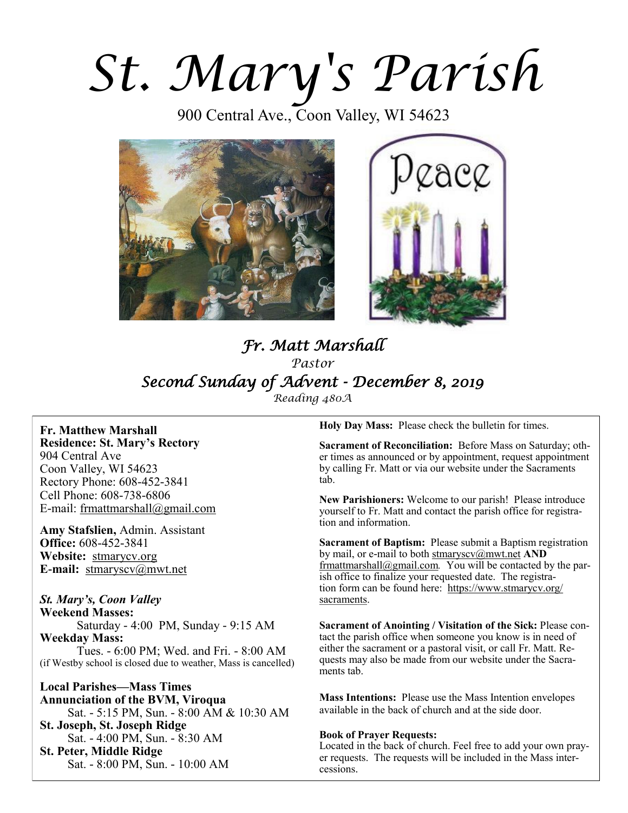# *St. Mary's Parish*

900 Central Ave., Coon Valley, WI 54623





# *Fr. Matt Marshall Pastor Second Sunday of Advent - December 8, 2019 Reading 480A*

**Fr. Matthew Marshall Residence: St. Mary's Rectory** 904 Central Ave Coon Valley, WI 54623 Rectory Phone: 608-452-3841 Cell Phone: 608-738-6806 E-mail: [frmattmarshall@gmail.com](mailto:frmattmarshall@gmail.com)

**Amy Stafslien,** Admin. Assistant **Office:** 608-452-3841 **Website:** <stmarycv.org> **E-mail:** [stmaryscv@mwt.net](mailto:stmaryscv@mwt.net)

## *St. Mary's, Coon Valley*

**Weekend Masses:** Saturday - 4:00 PM, Sunday - 9:15 AM **Weekday Mass:**  Tues. - 6:00 PM; Wed. and Fri. - 8:00 AM (if Westby school is closed due to weather, Mass is cancelled)

**Local Parishes—Mass Times Annunciation of the BVM, Viroqua** Sat. - 5:15 PM, Sun. - 8:00 AM & 10:30 AM **St. Joseph, St. Joseph Ridge** Sat. - 4:00 PM, Sun. - 8:30 AM **St. Peter, Middle Ridge** Sat. - 8:00 PM, Sun. - 10:00 AM

**Holy Day Mass:** Please check the bulletin for times.

**Sacrament of Reconciliation:** Before Mass on Saturday; other times as announced or by appointment, request appointment by calling Fr. Matt or via our website under the Sacraments tab.

**New Parishioners:** Welcome to our parish! Please introduce yourself to Fr. Matt and contact the parish office for registration and information.

**Sacrament of Baptism:** Please submit a Baptism registration by mail, or e-mail to both [stmaryscv@mwt.net](mailto:stmaryscv@mwt.net) **AND** [frmattmarshall@gmail.com](mailto:frmattmarshall@gmail.com)*.* You will be contacted by the parish office to finalize your requested date. The registration form can be found here: [https://www.stmarycv.org/](https://www.stmarycv.org/sacraments) [sacraments.](https://www.stmarycv.org/sacraments) 

**Sacrament of Anointing / Visitation of the Sick:** Please contact the parish office when someone you know is in need of either the sacrament or a pastoral visit, or call Fr. Matt. Requests may also be made from our website under the Sacraments tab.

**Mass Intentions:** Please use the Mass Intention envelopes available in the back of church and at the side door.

#### **Book of Prayer Requests:**

Located in the back of church. Feel free to add your own prayer requests. The requests will be included in the Mass intercessions.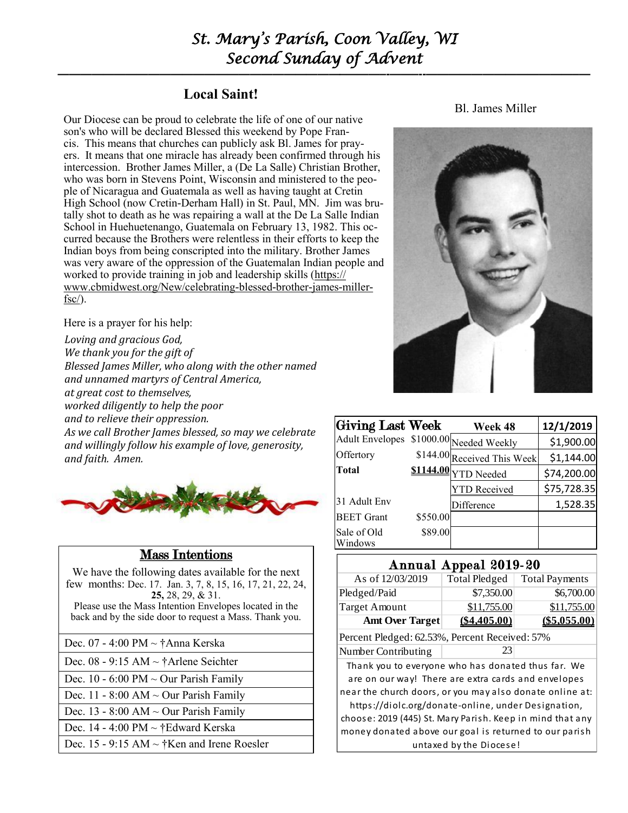# *St. Mary's Parish, Coon Valley, WI Second Sunday of Advent*

**—————————————————————————–———–-——–--—————————————–—**

# **Local Saint!**

Our Diocese can be proud to celebrate the life of one of our native son's who will be declared Blessed this weekend by Pope Francis. This means that churches can publicly ask Bl. James for prayers. It means that one miracle has already been confirmed through his intercession. Brother James Miller, a (De La Salle) Christian Brother, who was born in Stevens Point, Wisconsin and ministered to the people of Nicaragua and Guatemala as well as having taught at Cretin High School (now Cretin-Derham Hall) in St. Paul, MN. Jim was brutally shot to death as he was repairing a wall at the De La Salle Indian School in Huehuetenango, Guatemala on February 13, 1982. This occurred because the Brothers were relentless in their efforts to keep the Indian boys from being conscripted into the military. Brother James was very aware of the oppression of the Guatemalan Indian people and worked to provide training in job and leadership skills ([https://](https://www.cbmidwest.org/New/celebrating-blessed-brother-james-miller-fsc/) [www.cbmidwest.org/New/celebrating-blessed-brother-james-miller](https://www.cbmidwest.org/New/celebrating-blessed-brother-james-miller-fsc/) $fsc$ ).

Here is a prayer for his help:

*Loving and gracious God, We thank you for the gift of Blessed James Miller, who along with the other named and unnamed martyrs of Central America, at great cost to themselves, worked diligently to help the poor and to relieve their oppression. As we call Brother James blessed, so may we celebrate and willingly follow his example of love, generosity, and faith. Amen.*



# Mass Intentions

Bl. James Miller



| Giving Last Week                        |          | Week 48                     | 12/1/2019   |
|-----------------------------------------|----------|-----------------------------|-------------|
| Adult Envelopes \$1000.00 Needed Weekly |          |                             | \$1,900.00  |
| Offertory                               |          | \$144.00 Received This Week | \$1,144.00  |
| Total                                   |          | \$1144.00 YTD Needed        | \$74,200.00 |
|                                         |          | YTD Received                | \$75,728.35 |
| 31 Adult Env                            |          | Difference                  | 1,528.35    |
| <b>BEET</b> Grant                       | \$550.00 |                             |             |
| Sale of Old<br>Windows                  | \$89.00  |                             |             |

## Annual Appeal 2019-20

| We have the following dates available for the next         |                                                                                                                  | . .                     |                       |
|------------------------------------------------------------|------------------------------------------------------------------------------------------------------------------|-------------------------|-----------------------|
| few months: Dec. 17. Jan. 3, 7, 8, 15, 16, 17, 21, 22, 24, | As of 12/03/2019                                                                                                 | <b>Total Pledged</b>    | <b>Total Payments</b> |
| $25, 28, 29, \& 31.$                                       | Pledged/Paid                                                                                                     | \$7,350.00              | \$6,700.00            |
| Please use the Mass Intention Envelopes located in the     | <b>Target Amount</b>                                                                                             | \$11,755.00             | \$11,755.00           |
| back and by the side door to request a Mass. Thank you.    | <b>Amt Over Target</b>                                                                                           | (\$4.405.00)            | (\$5.055.00)          |
| Dec. 07 - 4:00 PM ~ †Anna Kerska                           | Percent Pledged: 62.53%, Percent Received: 57%                                                                   |                         |                       |
|                                                            | Number Contributing                                                                                              | 23                      |                       |
| Dec. 08 - 9:15 AM $\sim \dagger$ Arlene Seichter           | Thank you to everyone who has donated thus far. We                                                               |                         |                       |
| Dec. 10 - 6:00 PM $\sim$ Our Parish Family                 | are on our way! There are extra cards and envelopes                                                              |                         |                       |
| Dec. 11 - 8:00 AM $\sim$ Our Parish Family                 | near the church doors, or you may also donate online at:                                                         |                         |                       |
| Dec. 13 - 8:00 AM $\sim$ Our Parish Family                 | https://diolc.org/donate-online, under Designation,<br>choose: 2019 (445) St. Mary Parish. Keep in mind that any |                         |                       |
| Dec. 14 - 4:00 PM $\sim$ †Edward Kerska                    | money donated above our goal is returned to our parish                                                           |                         |                       |
| Dec. 15 - 9:15 AM $\sim$ †Ken and Irene Roesler            |                                                                                                                  | untaxed by the Diocese! |                       |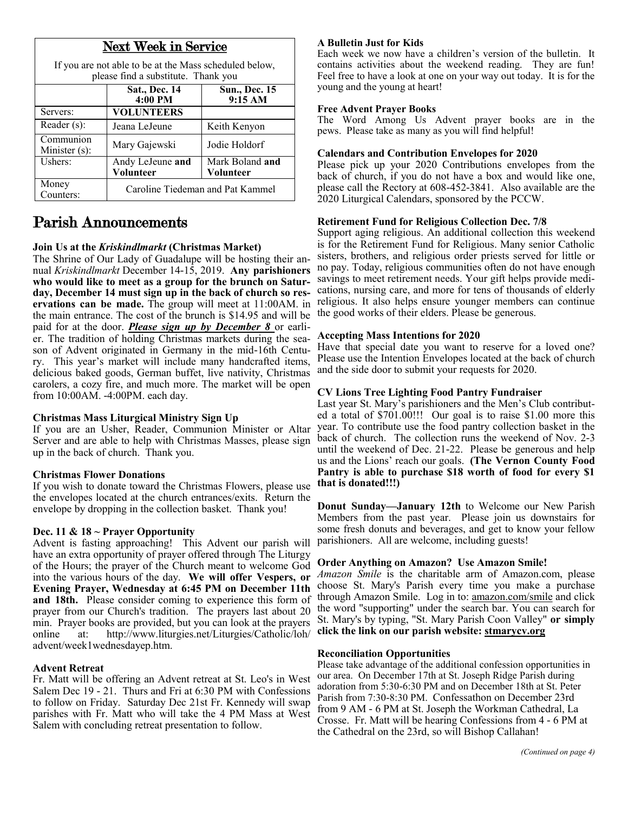| <b>Next Week in Service</b>                                                                   |                                  |                                 |  |
|-----------------------------------------------------------------------------------------------|----------------------------------|---------------------------------|--|
| If you are not able to be at the Mass scheduled below,<br>please find a substitute. Thank you |                                  |                                 |  |
|                                                                                               | <b>Sat., Dec. 14</b><br>4:00 PM  | <b>Sun., Dec. 15</b><br>9:15 AM |  |
| Servers:                                                                                      | <b>VOLUNTEERS</b>                |                                 |  |
| Reader (s):                                                                                   | Jeana LeJeune                    | Keith Kenyon                    |  |
| Communion<br>Minister (s):                                                                    | Mary Gajewski                    | Jodie Holdorf                   |  |
| Ushers:                                                                                       | Andy LeJeune and<br>Volunteer    | Mark Boland and<br>Volunteer    |  |
| Money<br>Counters:                                                                            | Caroline Tiedeman and Pat Kammel |                                 |  |

# Parish Announcements

#### **Join Us at the** *Kriskindlmarkt* **(Christmas Market)**

The Shrine of Our Lady of Guadalupe will be hosting their annual *Kriskindlmarkt* December 14-15, 2019. **Any parishioners who would like to meet as a group for the brunch on Saturday, December 14 must sign up in the back of church so reservations can be made.** The group will meet at 11:00AM. in the main entrance. The cost of the brunch is \$14.95 and will be paid for at the door. *Please sign up by December 8* or earlier. The tradition of holding Christmas markets during the season of Advent originated in Germany in the mid-16th Century. This year's market will include many handcrafted items, delicious baked goods, German buffet, live nativity, Christmas carolers, a cozy fire, and much more. The market will be open from 10:00AM. -4:00PM. each day.

#### **Christmas Mass Liturgical Ministry Sign Up**

If you are an Usher, Reader, Communion Minister or Altar Server and are able to help with Christmas Masses, please sign up in the back of church. Thank you.

#### **Christmas Flower Donations**

If you wish to donate toward the Christmas Flowers, please use the envelopes located at the church entrances/exits. Return the envelope by dropping in the collection basket. Thank you!

#### **Dec. 11 & 18 ~ Prayer Opportunity**

Advent is fasting approaching! This Advent our parish will have an extra opportunity of prayer offered through The Liturgy of the Hours; the prayer of the Church meant to welcome God into the various hours of the day. **We will offer Vespers, or Evening Prayer, Wednesday at 6:45 PM on December 11th and 18th.** Please consider coming to experience this form of prayer from our Church's tradition. The prayers last about 20 min. Prayer books are provided, but you can look at the prayers online at: [http://www.liturgies.net/Liturgies/Catholic/loh/](http://www.liturgies.net/Liturgies/Catholic/loh/advent/week1wednesdayep.htm) [advent/week1wednesdayep.htm.](http://www.liturgies.net/Liturgies/Catholic/loh/advent/week1wednesdayep.htm)

#### **Advent Retreat**

Fr. Matt will be offering an Advent retreat at St. Leo's in West Salem Dec 19 - 21. Thurs and Fri at 6:30 PM with Confessions to follow on Friday. Saturday Dec 21st Fr. Kennedy will swap parishes with Fr. Matt who will take the 4 PM Mass at West Salem with concluding retreat presentation to follow.

#### **A Bulletin Just for Kids**

Each week we now have a children's version of the bulletin. It contains activities about the weekend reading. They are fun! Feel free to have a look at one on your way out today. It is for the young and the young at heart!

#### **Free Advent Prayer Books**

The Word Among Us Advent prayer books are in the pews. Please take as many as you will find helpful!

#### **Calendars and Contribution Envelopes for 2020**

Please pick up your 2020 Contributions envelopes from the back of church, if you do not have a box and would like one, please call the Rectory at 608-452-3841. Also available are the 2020 Liturgical Calendars, sponsored by the PCCW.

#### **Retirement Fund for Religious Collection Dec. 7/8**

Support aging religious. An additional collection this weekend is for the Retirement Fund for Religious. Many senior Catholic sisters, brothers, and religious order priests served for little or no pay. Today, religious communities often do not have enough savings to meet retirement needs. Your gift helps provide medications, nursing care, and more for tens of thousands of elderly religious. It also helps ensure younger members can continue the good works of their elders. Please be generous.

#### **Accepting Mass Intentions for 2020**

Have that special date you want to reserve for a loved one? Please use the Intention Envelopes located at the back of church and the side door to submit your requests for 2020.

#### **CV Lions Tree Lighting Food Pantry Fundraiser**

Last year St. Mary's parishioners and the Men's Club contributed a total of \$701.00!!! Our goal is to raise \$1.00 more this year. To contribute use the food pantry collection basket in the back of church. The collection runs the weekend of Nov. 2-3 until the weekend of Dec. 21-22. Please be generous and help us and the Lions' reach our goals. **(The Vernon County Food Pantry is able to purchase \$18 worth of food for every \$1 that is donated!!!)**

**Donut Sunday—January 12th** to Welcome our New Parish Members from the past year. Please join us downstairs for some fresh donuts and beverages, and get to know your fellow parishioners. All are welcome, including guests!

#### **Order Anything on Amazon? Use Amazon Smile!**

*Amazon Smile* is the charitable arm of Amazon.com, please choose St. Mary's Parish every time you make a purchase through Amazon Smile. Log in to: [amazon.com/smile](http://amazon.com/smile) and click the word "supporting" under the search bar. You can search for St. Mary's by typing, "St. Mary Parish Coon Valley" **or simply click the link on our parish website: <stmarycv.org>**

#### **Reconciliation Opportunities**

Please take advantage of the additional confession opportunities in our area. On December 17th at St. Joseph Ridge Parish during adoration from 5:30-6:30 PM and on December 18th at St. Peter Parish from 7:30-8:30 PM. Confessathon on December 23rd from 9 AM - 6 PM at St. Joseph the Workman Cathedral, La Crosse. Fr. Matt will be hearing Confessions from 4 - 6 PM at the Cathedral on the 23rd, so will Bishop Callahan!